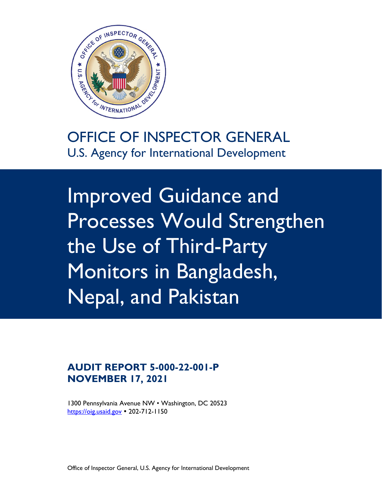

OFFICE OF INSPECTOR GENERAL U.S. Agency for International Development

Improved Guidance and Processes Would Strengthen the Use of Third-Party Monitors in Bangladesh, Nepal, and Pakistan

**AUDIT REPORT 5-000-22-001-P NOVEMBER 17, 2021**

1300 Pennsylvania Avenue NW • Washington, DC 20523 [https://oig.usaid.gov](https://oig.usaid.gov/) 202-712-1150

Office of Inspector General, U.S. Agency for International Development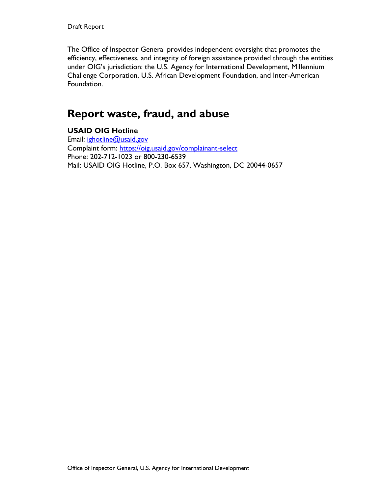The Office of Inspector General provides independent oversight that promotes the efficiency, effectiveness, and integrity of foreign assistance provided through the entities under OIG's jurisdiction: the U.S. Agency for International Development, Millennium Challenge Corporation, U.S. African Development Foundation, and Inter-American Foundation.

# **Report waste, fraud, and abuse**

#### **USAID OIG Hotline**

Email: ighotline@usaid.gov Complaint form:<https://oig.usaid.gov/complainant-select> Phone: 202-712-1023 or 800-230-6539 Mail: USAID OIG Hotline, P.O. Box 657, Washington, DC 20044-0657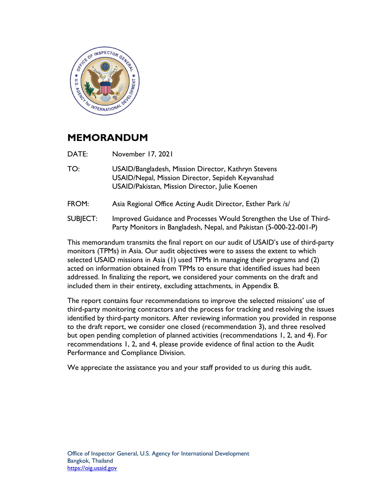

### **MEMORANDUM**

DATE: November 17, 2021

- TO: USAID/Bangladesh, Mission Director, Kathryn Stevens USAID/Nepal, Mission Director, Sepideh Keyvanshad USAID/Pakistan, Mission Director, Julie Koenen
- FROM: Asia Regional Office Acting Audit Director, Esther Park /s/
- SUBJECT: Improved Guidance and Processes Would Strengthen the Use of Third-Party Monitors in Bangladesh, Nepal, and Pakistan (5-000-22-001-P)

This memorandum transmits the final report on our audit of USAID's use of third-party monitors (TPMs) in Asia. Our audit objectives were to assess the extent to which selected USAID missions in Asia (1) used TPMs in managing their programs and (2) acted on information obtained from TPMs to ensure that identified issues had been addressed. In finalizing the report, we considered your comments on the draft and included them in their entirety, excluding attachments, in Appendix B.

The report contains four recommendations to improve the selected missions' use of third-party monitoring contractors and the process for tracking and resolving the issues identified by third-party monitors. After reviewing information you provided in response to the draft report, we consider one closed (recommendation 3), and three resolved but open pending completion of planned activities (recommendations 1, 2, and 4). For recommendations 1, 2, and 4, please provide evidence of final action to the Audit Performance and Compliance Division.

We appreciate the assistance you and your staff provided to us during this audit.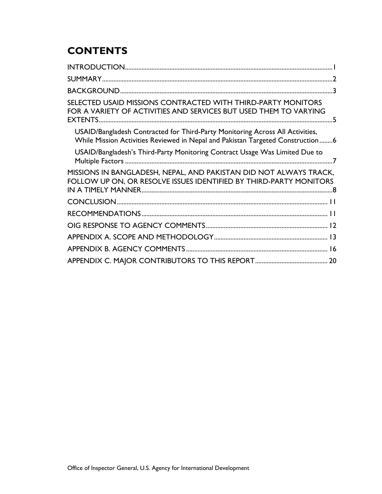# **CONTENTS**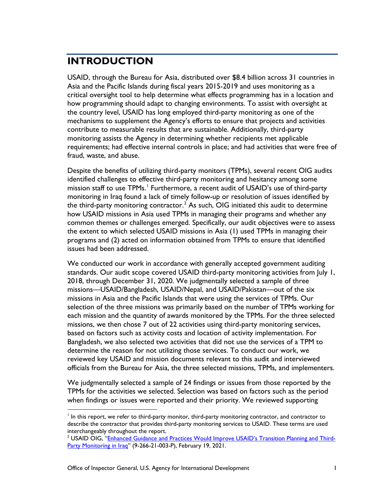# <span id="page-4-0"></span>**INTRODUCTION**

USAID, through the Bureau for Asia, distributed over \$8.4 billion across 31 countries in Asia and the Pacific Islands during fiscal years 2015-2019 and uses monitoring as a critical oversight tool to help determine what effects programming has in a location and how programming should adapt to changing environments. To assist with oversight at the country level, USAID has long employed third-party monitoring as one of the mechanisms to supplement the Agency's efforts to ensure that projects and activities contribute to measurable results that are sustainable. Additionally, third-party monitoring assists the Agency in determining whether recipients met applicable requirements; had effective internal controls in place; and had activities that were free of fraud, waste, and abuse.

Despite the benefits of utilizing third-party monitors (TPMs), several recent OIG audits identified challenges to effective third-party monitoring and hesitancy among some mission staff to use TPMs.<sup>[1](#page-4-1)</sup> Furthermore, a recent audit of USAID's use of third-party monitoring in Iraq found a lack of timely follow-up or resolution of issues identified by the third-party monitoring contractor.<sup>[2](#page-4-2)</sup> As such, OIG initiated this audit to determine how USAID missions in Asia used TPMs in managing their programs and whether any common themes or challenges emerged. Specifically, our audit objectives were to assess the extent to which selected USAID missions in Asia (1) used TPMs in managing their programs and (2) acted on information obtained from TPMs to ensure that identified issues had been addressed.

We conducted our work in accordance with generally accepted government auditing standards. Our audit scope covered USAID third-party monitoring activities from July 1, 2018, through December 31, 2020. We judgmentally selected a sample of three missions—USAID/Bangladesh, USAID/Nepal, and USAID/Pakistan—out of the six missions in Asia and the Pacific Islands that were using the services of TPMs. Our selection of the three missions was primarily based on the number of TPMs working for each mission and the quantity of awards monitored by the TPMs. For the three selected missions, we then chose 7 out of 22 activities using third-party monitoring services, based on factors such as activity costs and location of activity implementation. For Bangladesh, we also selected two activities that did not use the services of a TPM to determine the reason for not utilizing those services. To conduct our work, we reviewed key USAID and mission documents relevant to this audit and interviewed officials from the Bureau for Asia, the three selected missions, TPMs, and implementers.

We judgmentally selected a sample of 24 findings or issues from those reported by the TPMs for the activities we selected. Selection was based on factors such as the period when findings or issues were reported and their priority. We reviewed supporting

<span id="page-4-1"></span> $<sup>1</sup>$  In this report, we refer to third-party monitor, third-party monitoring contractor, and contractor to</sup> describe the contractor that provides third-party monitoring services to USAID. These terms are used interchangeably throughout the report.

<span id="page-4-2"></span><sup>&</sup>lt;sup>2</sup> USAID OIG, ["Enhanced Guidance and Practices Would Improve USAID's Transition Planning and Third-](https://oig.usaid.gov/node/4605)[Party Monitoring in Iraq"](https://oig.usaid.gov/node/4605) (9-266-21-003-P), February 19, 2021.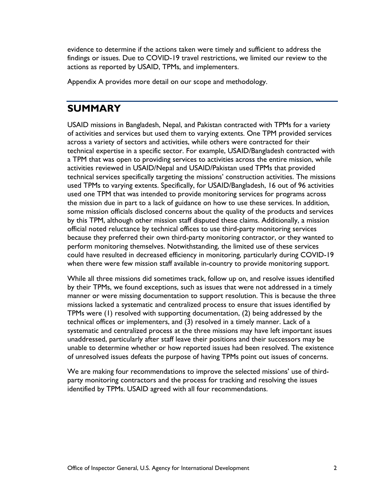evidence to determine if the actions taken were timely and sufficient to address the findings or issues. Due to COVID-19 travel restrictions, we limited our review to the actions as reported by USAID, TPMs, and implementers.

Appendix A provides more detail on our scope and methodology.

#### <span id="page-5-0"></span>**SUMMARY**

USAID missions in Bangladesh, Nepal, and Pakistan contracted with TPMs for a variety of activities and services but used them to varying extents. One TPM provided services across a variety of sectors and activities, while others were contracted for their technical expertise in a specific sector. For example, USAID/Bangladesh contracted with a TPM that was open to providing services to activities across the entire mission, while activities reviewed in USAID/Nepal and USAID/Pakistan used TPMs that provided technical services specifically targeting the missions' construction activities. The missions used TPMs to varying extents. Specifically, for USAID/Bangladesh, 16 out of 96 activities used one TPM that was intended to provide monitoring services for programs across the mission due in part to a lack of guidance on how to use these services. In addition, some mission officials disclosed concerns about the quality of the products and services by this TPM, although other mission staff disputed these claims. Additionally, a mission official noted reluctance by technical offices to use third-party monitoring services because they preferred their own third-party monitoring contractor, or they wanted to perform monitoring themselves. Notwithstanding, the limited use of these services could have resulted in decreased efficiency in monitoring, particularly during COVID-19 when there were few mission staff available in-country to provide monitoring support.

While all three missions did sometimes track, follow up on, and resolve issues identified by their TPMs, we found exceptions, such as issues that were not addressed in a timely manner or were missing documentation to support resolution. This is because the three missions lacked a systematic and centralized process to ensure that issues identified by TPMs were (1) resolved with supporting documentation, (2) being addressed by the technical offices or implementers, and (3) resolved in a timely manner. Lack of a systematic and centralized process at the three missions may have left important issues unaddressed, particularly after staff leave their positions and their successors may be unable to determine whether or how reported issues had been resolved. The existence of unresolved issues defeats the purpose of having TPMs point out issues of concerns.

We are making four recommendations to improve the selected missions' use of thirdparty monitoring contractors and the process for tracking and resolving the issues identified by TPMs. USAID agreed with all four recommendations.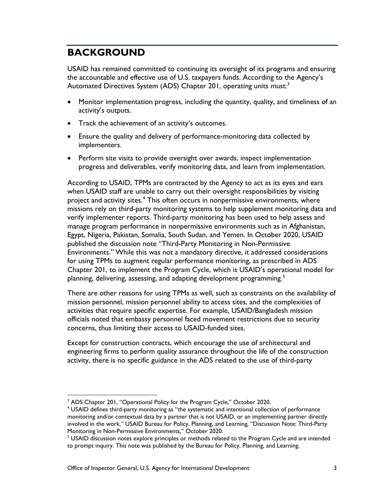# <span id="page-6-0"></span>**BACKGROUND**

USAID has remained committed to continuing its oversight of its programs and ensuring the accountable and effective use of U.S. taxpayers funds. According to the Agency's Automated Directives System (ADS) Chapter 201, operating units must:<sup>[3](#page-6-1)</sup>

- Monitor implementation progress, including the quantity, quality, and timeliness of an activity's outputs.
- Track the achievement of an activity's outcomes.
- Ensure the quality and delivery of performance-monitoring data collected by implementers.
- Perform site visits to provide oversight over awards, inspect implementation progress and deliverables, verify monitoring data, and learn from implementation.

According to USAID, TPMs are contracted by the Agency to act as its eyes and ears when USAID staff are unable to carry out their oversight responsibilities by visiting project and activity sites.<sup>[4](#page-6-2)</sup> This often occurs in nonpermissive environments, where missions rely on third-party monitoring systems to help supplement monitoring data and verify implementer reports. Third-party monitoring has been used to help assess and manage program performance in nonpermissive environments such as in Afghanistan, Egypt, Nigeria, Pakistan, Somalia, South Sudan, and Yemen. In October 2020, USAID published the discussion note "Third-Party Monitoring in Non-Permissive Environments." While this was not a mandatory directive, it addressed considerations for using TPMs to augment regular performance monitoring, as prescribed in ADS Chapter 201, to implement the Program Cycle, which is USAID's operational model for planning, delivering, assessing, and adapting development programming.<sup>[5](#page-6-3)</sup>

There are other reasons for using TPMs as well, such as constraints on the availability of mission personnel, mission personnel ability to access sites, and the complexities of activities that require specific expertise. For example, USAID/Bangladesh mission officials noted that embassy personnel faced movement restrictions due to security concerns, thus limiting their access to USAID-funded sites.

Except for construction contracts, which encourage the use of architectural and engineering firms to perform quality assurance throughout the life of the construction activity, there is no specific guidance in the ADS related to the use of third-party

<span id="page-6-1"></span><sup>&</sup>lt;sup>3</sup> ADS Chapter 201, "Operational Policy for the Program Cycle," October 2020.

<span id="page-6-2"></span><sup>4</sup> USAID defines third-party monitoring as "the systematic and intentional collection of performance monitoring and/or contextual data by a partner that is not USAID, or an implementing partner directly involved in the work." USAID Bureau for Policy, Planning, and Learning, "Discussion Note: Third-Party

<span id="page-6-3"></span> $<sup>5</sup>$  USAID discussion notes explore principles or methods related to the Program Cycle and are intended</sup> to prompt inquiry. This note was published by the Bureau for Policy, Planning, and Learning.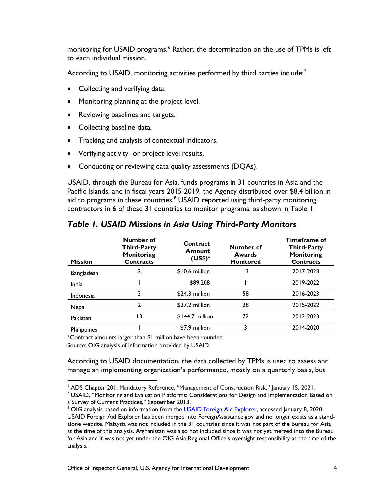monitoring for USAID programs.<sup>[6](#page-7-0)</sup> Rather, the determination on the use of TPMs is left to each individual mission.

According to USAID, monitoring activities performed by third parties include:<sup>[7](#page-7-1)</sup>

- Collecting and verifying data.
- Monitoring planning at the project level.
- Reviewing baselines and targets.
- Collecting baseline data.
- Tracking and analysis of contextual indicators.
- Verifying activity- or project-level results.
- Conducting or reviewing data quality assessments (DQAs).

USAID, through the Bureau for Asia, funds programs in 31 countries in Asia and the Pacific Islands, and in fiscal years 2015-2019, the Agency distributed over \$8.4 billion in aid to programs in these countries. $8 \text{ USAID}$  $8 \text{ USAID}$  reported using third-party monitoring contractors in 6 of these 31 countries to monitor programs, as shown in Table 1.

| <b>Mission</b>     | <b>Number of</b><br><b>Third-Party</b><br><b>Monitoring</b><br><b>Contracts</b> | Contract<br><b>Amount</b><br>$(US$)^{a}$ | Number of<br>Awards<br><b>Monitored</b> | Timeframe of<br><b>Third-Party</b><br><b>Monitoring</b><br><b>Contracts</b> |
|--------------------|---------------------------------------------------------------------------------|------------------------------------------|-----------------------------------------|-----------------------------------------------------------------------------|
| Bangladesh         |                                                                                 | \$10.6 million                           | 13                                      | 2017-2023                                                                   |
| India              |                                                                                 | \$89,208                                 |                                         | 2019-2022                                                                   |
| Indonesia          | 3                                                                               | \$24.3 million                           | 58                                      | 2016-2023                                                                   |
| Nepal              | 2                                                                               | \$37.2 million                           | 28                                      | 2015-2022                                                                   |
| Pakistan           | 13                                                                              | $$144.7$ million                         | 72                                      | 2012-2023                                                                   |
| <b>Philippines</b> |                                                                                 | \$7.9 million                            | 3                                       | 2014-2020                                                                   |

*Table 1. USAID Missions in Asia Using Third-Party Monitors*

<sup>a</sup> Contract amounts larger than \$1 million have been rounded.

Source: OIG analysis of information provided by USAID.

According to USAID documentation, the data collected by TPMs is used to assess and manage an implementing organization's performance, mostly on a quarterly basis, but

<span id="page-7-0"></span><sup>&</sup>lt;sup>6</sup> ADS Chapter 201, Mandatory Reference, "Management of Construction Risk," January 15, 2021.<br><sup>7</sup> USAID, "Monitoring and Evaluation Platforms: Considerations for Design and Implementation Based on

<span id="page-7-1"></span>a Survey of Current Practices," September 2013.

<span id="page-7-2"></span><sup>&</sup>lt;sup>8</sup> OIG analysis based on information from the [USAID Foreign Aid Explorer,](https://explorer.usaid.gov/) accessed January 8, 2020. USAID Foreign Aid Explorer has been merged into ForeignAssistance.gov and no longer exists as a standalone website. Malaysia was not included in the 31 countries since it was not part of the Bureau for Asia at the time of this analysis. Afghanistan was also not included since it was not yet merged into the Bureau for Asia and it was not yet under the OIG Asia Regional Office's oversight responsibility at the time of the analysis.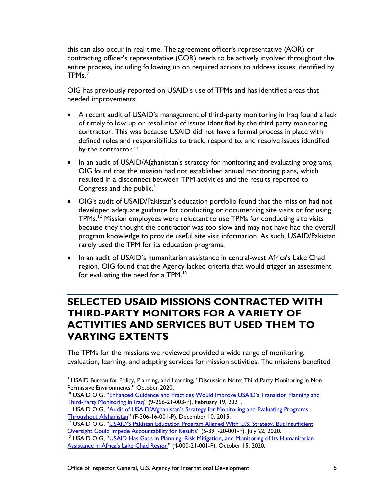this can also occur in real time. The agreement officer's representative (AOR) or contracting officer's representative (COR) needs to be actively involved throughout the entire process, including following up on required actions to address issues identified by TPMs. [9](#page-8-1)

OIG has previously reported on USAID's use of TPMs and has identified areas that needed improvements:

- A recent audit of USAID's management of third-party monitoring in Iraq found a lack of timely follow-up or resolution of issues identified by the third-party monitoring contractor. This was because USAID did not have a formal process in place with defined roles and responsibilities to track, respond to, and resolve issues identified by the contractor.<sup>[10](#page-8-2)</sup>
- In an audit of USAID/Afghanistan's strategy for monitoring and evaluating programs, OIG found that the mission had not established annual monitoring plans, which resulted in a disconnect between TPM activities and the results reported to Congress and the public.<sup>[11](#page-8-3)</sup>
- OIG's audit of USAID/Pakistan's education portfolio found that the mission had not developed adequate guidance for conducting or documenting site visits or for using TPMs.<sup>[12](#page-8-4)</sup> Mission employees were reluctant to use TPMs for conducting site visits because they thought the contractor was too slow and may not have had the overall program knowledge to provide useful site visit information. As such, USAID/Pakistan rarely used the TPM for its education programs.
- In an audit of USAID's humanitarian assistance in central-west Africa's Lake Chad region, OIG found that the Agency lacked criteria that would trigger an assessment for evaluating the need for a TPM. $13$

### <span id="page-8-0"></span>**SELECTED USAID MISSIONS CONTRACTED WITH THIRD-PARTY MONITORS FOR A VARIETY OF ACTIVITIES AND SERVICES BUT USED THEM TO VARYING EXTENTS**

The TPMs for the missions we reviewed provided a wide range of monitoring, evaluation, learning, and adapting services for mission activities. The missions benefited

<span id="page-8-1"></span><sup>&</sup>lt;sup>9</sup> USAID Bureau for Policy, Planning, and Learning, "Discussion Note: Third-Party Monitoring in Non-<br>Permissive Environments," October 2020.

<span id="page-8-2"></span><sup>&</sup>lt;sup>10</sup> USAID OIG, "Enhanced Guidance and Practices Would Improve USAID's Transition Planning and [Third-Party Monitoring in Iraq"](https://oig.usaid.gov/node/4605) (9-266-21-003-P), February 19, 2021.

<span id="page-8-3"></span><sup>&</sup>lt;sup>11</sup> USAID OIG, "Audit of USAID/Afghanistan's Strategy for Monitoring and Evaluating Programs [Throughout Afghanistan"](https://oig.usaid.gov/node/565) (F-306-16-001-P), December 10, 2015.

<span id="page-8-4"></span><sup>&</sup>lt;sup>12</sup> USAID OIG, "USAID'S Pakistan Education Program Aligned With U.S. Strategy, But Insufficient [Oversight Could Impede Accountability for Results"](https://oig.usaid.gov/node/4200) (5-391-20-001-P), July 22, 2020.

<span id="page-8-5"></span><sup>&</sup>lt;sup>13</sup> USAID OIG, "USAID Has Gaps in Planning, Risk Mitigation, and Monitoring of Its Humanitarian [Assistance in Africa's Lake Chad Region"](https://oig.usaid.gov/node/4338) (4-000-21-001-P), October 15, 2020.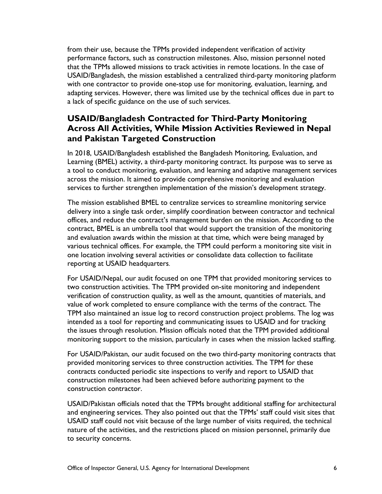from their use, because the TPMs provided independent verification of activity performance factors, such as construction milestones. Also, mission personnel noted that the TPMs allowed missions to track activities in remote locations. In the case of USAID/Bangladesh, the mission established a centralized third-party monitoring platform with one contractor to provide one-stop use for monitoring, evaluation, learning, and adapting services. However, there was limited use by the technical offices due in part to a lack of specific guidance on the use of such services.

#### <span id="page-9-0"></span>**USAID/Bangladesh Contracted for Third-Party Monitoring Across All Activities, While Mission Activities Reviewed in Nepal and Pakistan Targeted Construction**

In 2018, USAID/Bangladesh established the Bangladesh Monitoring, Evaluation, and Learning (BMEL) activity, a third-party monitoring contract. Its purpose was to serve as a tool to conduct monitoring, evaluation, and learning and adaptive management services across the mission. It aimed to provide comprehensive monitoring and evaluation services to further strengthen implementation of the mission's development strategy.

The mission established BMEL to centralize services to streamline monitoring service delivery into a single task order, simplify coordination between contractor and technical offices, and reduce the contract's management burden on the mission. According to the contract, BMEL is an umbrella tool that would support the transition of the monitoring and evaluation awards within the mission at that time, which were being managed by various technical offices. For example, the TPM could perform a monitoring site visit in one location involving several activities or consolidate data collection to facilitate reporting at USAID headquarters.

For USAID/Nepal, our audit focused on one TPM that provided monitoring services to two construction activities. The TPM provided on-site monitoring and independent verification of construction quality, as well as the amount, quantities of materials, and value of work completed to ensure compliance with the terms of the contract. The TPM also maintained an issue log to record construction project problems. The log was intended as a tool for reporting and communicating issues to USAID and for tracking the issues through resolution. Mission officials noted that the TPM provided additional monitoring support to the mission, particularly in cases when the mission lacked staffing.

For USAID/Pakistan, our audit focused on the two third-party monitoring contracts that provided monitoring services to three construction activities. The TPM for these contracts conducted periodic site inspections to verify and report to USAID that construction milestones had been achieved before authorizing payment to the construction contractor.

USAID/Pakistan officials noted that the TPMs brought additional staffing for architectural and engineering services. They also pointed out that the TPMs' staff could visit sites that USAID staff could not visit because of the large number of visits required, the technical nature of the activities, and the restrictions placed on mission personnel, primarily due to security concerns.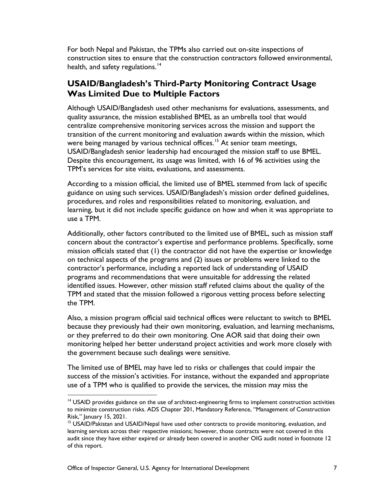For both Nepal and Pakistan, the TPMs also carried out on-site inspections of construction sites to ensure that the construction contractors followed environmental, health, and safety regulations.<sup>[14](#page-10-1)</sup>

#### <span id="page-10-0"></span>**USAID/Bangladesh's Third-Party Monitoring Contract Usage Was Limited Due to Multiple Factors**

Although USAID/Bangladesh used other mechanisms for evaluations, assessments, and quality assurance, the mission established BMEL as an umbrella tool that would centralize comprehensive monitoring services across the mission and support the transition of the current monitoring and evaluation awards within the mission, which were being managed by various technical offices.<sup>[15](#page-10-2)</sup> At senior team meetings, USAID/Bangladesh senior leadership had encouraged the mission staff to use BMEL. Despite this encouragement, its usage was limited, with 16 of 96 activities using the TPM's services for site visits, evaluations, and assessments.

According to a mission official, the limited use of BMEL stemmed from lack of specific guidance on using such services. USAID/Bangladesh's mission order defined guidelines, procedures, and roles and responsibilities related to monitoring, evaluation, and learning, but it did not include specific guidance on how and when it was appropriate to use a TPM.

Additionally, other factors contributed to the limited use of BMEL, such as mission staff concern about the contractor's expertise and performance problems. Specifically, some mission officials stated that (1) the contractor did not have the expertise or knowledge on technical aspects of the programs and (2) issues or problems were linked to the contractor's performance, including a reported lack of understanding of USAID programs and recommendations that were unsuitable for addressing the related identified issues. However, other mission staff refuted claims about the quality of the TPM and stated that the mission followed a rigorous vetting process before selecting the TPM.

Also, a mission program official said technical offices were reluctant to switch to BMEL because they previously had their own monitoring, evaluation, and learning mechanisms, or they preferred to do their own monitoring. One AOR said that doing their own monitoring helped her better understand project activities and work more closely with the government because such dealings were sensitive.

The limited use of BMEL may have led to risks or challenges that could impair the success of the mission's activities. For instance, without the expanded and appropriate use of a TPM who is qualified to provide the services, the mission may miss the

<span id="page-10-1"></span><sup>&</sup>lt;sup>14</sup> USAID provides guidance on the use of architect-engineering firms to implement construction activities to minimize construction risks. ADS Chapter 201, Mandatory Reference, "Management of Construction Risk," January 15, 2021.

<span id="page-10-2"></span><sup>&</sup>lt;sup>15</sup> USAID/Pakistan and USAID/Nepal have used other contracts to provide monitoring, evaluation, and learning services across their respective missions; however, those contracts were not covered in this audit since they have either expired or already been covered in another OIG audit noted in footnote 12 of this report.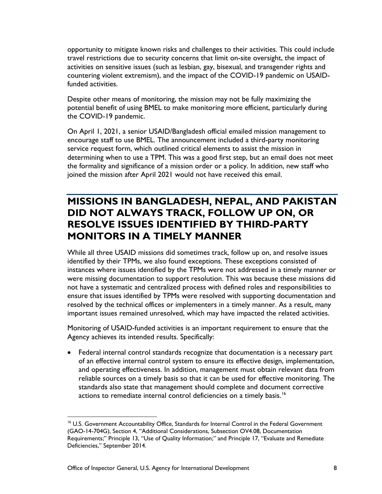opportunity to mitigate known risks and challenges to their activities. This could include travel restrictions due to security concerns that limit on-site oversight, the impact of activities on sensitive issues (such as lesbian, gay, bisexual, and transgender rights and countering violent extremism), and the impact of the COVID-19 pandemic on USAIDfunded activities.

Despite other means of monitoring, the mission may not be fully maximizing the potential benefit of using BMEL to make monitoring more efficient, particularly during the COVID-19 pandemic.

On April 1, 2021, a senior USAID/Bangladesh official emailed mission management to encourage staff to use BMEL. The announcement included a third-party monitoring service request form, which outlined critical elements to assist the mission in determining when to use a TPM. This was a good first step, but an email does not meet the formality and significance of a mission order or a policy. In addition, new staff who joined the mission after April 2021 would not have received this email.

#### <span id="page-11-0"></span>**MISSIONS IN BANGLADESH, NEPAL, AND PAKISTAN DID NOT ALWAYS TRACK, FOLLOW UP ON, OR RESOLVE ISSUES IDENTIFIED BY THIRD-PARTY MONITORS IN A TIMELY MANNER**

While all three USAID missions did sometimes track, follow up on, and resolve issues identified by their TPMs, we also found exceptions. These exceptions consisted of instances where issues identified by the TPMs were not addressed in a timely manner or were missing documentation to support resolution. This was because these missions did not have a systematic and centralized process with defined roles and responsibilities to ensure that issues identified by TPMs were resolved with supporting documentation and resolved by the technical offices or implementers in a timely manner. As a result, many important issues remained unresolved, which may have impacted the related activities.

Monitoring of USAID-funded activities is an important requirement to ensure that the Agency achieves its intended results. Specifically:

• Federal internal control standards recognize that documentation is a necessary part of an effective internal control system to ensure its effective design, implementation, and operating effectiveness. In addition, management must obtain relevant data from reliable sources on a timely basis so that it can be used for effective monitoring. The standards also state that management should complete and document corrective actions to remediate internal control deficiencies on a timely basis.<sup>16</sup>

<span id="page-11-1"></span><sup>&</sup>lt;sup>16</sup> U.S. Government Accountability Office, Standards for Internal Control in the Federal Government (GAO-14-704G), Section 4, "Additional Considerations, Subsection OV4.08, Documentation Requirements;" Principle 13, "Use of Quality Information;" and Principle 17, "Evaluate and Remediate Deficiencies," September 2014.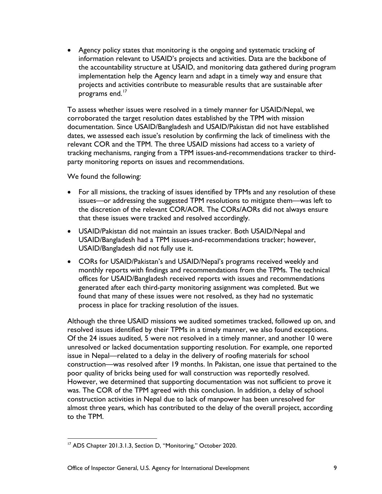• Agency policy states that monitoring is the ongoing and systematic tracking of information relevant to USAID's projects and activities. Data are the backbone of the accountability structure at USAID, and monitoring data gathered during program implementation help the Agency learn and adapt in a timely way and ensure that projects and activities contribute to measurable results that are sustainable after programs end.<sup>[17](#page-12-0)</sup>

To assess whether issues were resolved in a timely manner for USAID/Nepal, we corroborated the target resolution dates established by the TPM with mission documentation. Since USAID/Bangladesh and USAID/Pakistan did not have established dates, we assessed each issue's resolution by confirming the lack of timeliness with the relevant COR and the TPM. The three USAID missions had access to a variety of tracking mechanisms, ranging from a TPM issues-and-recommendations tracker to thirdparty monitoring reports on issues and recommendations.

We found the following:

- For all missions, the tracking of issues identified by TPMs and any resolution of these issues—or addressing the suggested TPM resolutions to mitigate them—was left to the discretion of the relevant COR/AOR. The CORs/AORs did not always ensure that these issues were tracked and resolved accordingly.
- USAID/Pakistan did not maintain an issues tracker. Both USAID/Nepal and USAID/Bangladesh had a TPM issues-and-recommendations tracker; however, USAID/Bangladesh did not fully use it.
- CORs for USAID/Pakistan's and USAID/Nepal's programs received weekly and monthly reports with findings and recommendations from the TPMs. The technical offices for USAID/Bangladesh received reports with issues and recommendations generated after each third-party monitoring assignment was completed. But we found that many of these issues were not resolved, as they had no systematic process in place for tracking resolution of the issues.

Although the three USAID missions we audited sometimes tracked, followed up on, and resolved issues identified by their TPMs in a timely manner, we also found exceptions. Of the 24 issues audited, 5 were not resolved in a timely manner, and another 10 were unresolved or lacked documentation supporting resolution. For example, one reported issue in Nepal—related to a delay in the delivery of roofing materials for school construction—was resolved after 19 months. In Pakistan, one issue that pertained to the poor quality of bricks being used for wall construction was reportedly resolved. However, we determined that supporting documentation was not sufficient to prove it was. The COR of the TPM agreed with this conclusion. In addition, a delay of school construction activities in Nepal due to lack of manpower has been unresolved for almost three years, which has contributed to the delay of the overall project, according to the TPM.

<span id="page-12-0"></span><sup>&</sup>lt;sup>17</sup> ADS Chapter 201.3.1.3, Section D, "Monitoring," October 2020.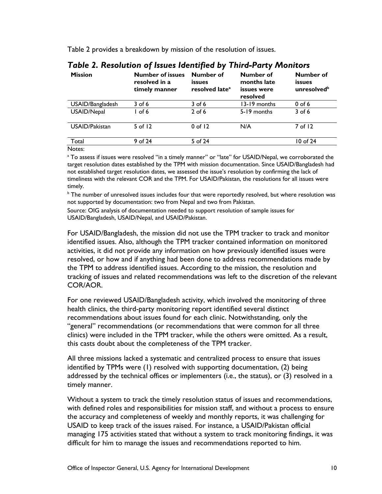Table 2 provides a breakdown by mission of the resolution of issues.

| <b>Mission</b>   | <b>Number of issues</b><br>resolved in a<br>timely manner | Number of<br>issues<br>resolved late <sup>a</sup> | Number of<br>months late<br>issues were<br>resolved | Number of<br>issues<br>unresolved <sup>b</sup> |
|------------------|-----------------------------------------------------------|---------------------------------------------------|-----------------------------------------------------|------------------------------------------------|
| USAID/Bangladesh | 3 of 6                                                    | $3$ of 6                                          | 13-19 months                                        | $0$ of 6                                       |
| USAID/Nepal      | l of 6                                                    | $2$ of 6                                          | 5-19 months                                         | $3$ of 6                                       |
| USAID/Pakistan   | 5 of $12$                                                 | $0$ of 12                                         | N/A                                                 | 7 of 12                                        |
| Total            | 9 of 24                                                   | 5 of 24                                           |                                                     | 10 of 24                                       |
| Notes:           |                                                           |                                                   |                                                     |                                                |

#### *Table 2. Resolution of Issues Identified by Third-Party Monitors*

Notes:<br>ª To assess if issues were resolved "in a timely manner" or "late" for USAID/Nepal, we corroborated the target resolution dates established by the TPM with mission documentation. Since USAID/Bangladesh had not established target resolution dates, we assessed the issue's resolution by confirming the lack of timeliness with the relevant COR and the TPM. For USAID/Pakistan, the resolutions for all issues were timely.<br><sup>b</sup> The number of unresolved issues includes four that were reportedly resolved, but where resolution was

not supported by documentation: two from Nepal and two from Pakistan.

Source: OIG analysis of documentation needed to support resolution of sample issues for USAID/Bangladesh, USAID/Nepal, and USAID/Pakistan.

For USAID/Bangladesh, the mission did not use the TPM tracker to track and monitor identified issues. Also, although the TPM tracker contained information on monitored activities, it did not provide any information on how previously identified issues were resolved, or how and if anything had been done to address recommendations made by the TPM to address identified issues. According to the mission, the resolution and tracking of issues and related recommendations was left to the discretion of the relevant COR/AOR.

For one reviewed USAID/Bangladesh activity, which involved the monitoring of three health clinics, the third-party monitoring report identified several distinct recommendations about issues found for each clinic. Notwithstanding, only the "general" recommendations (or recommendations that were common for all three clinics) were included in the TPM tracker, while the others were omitted. As a result, this casts doubt about the completeness of the TPM tracker.

All three missions lacked a systematic and centralized process to ensure that issues identified by TPMs were (1) resolved with supporting documentation, (2) being addressed by the technical offices or implementers (i.e., the status), or (3) resolved in a timely manner.

Without a system to track the timely resolution status of issues and recommendations, with defined roles and responsibilities for mission staff, and without a process to ensure the accuracy and completeness of weekly and monthly reports, it was challenging for USAID to keep track of the issues raised. For instance, a USAID/Pakistan official managing 175 activities stated that without a system to track monitoring findings, it was difficult for him to manage the issues and recommendations reported to him.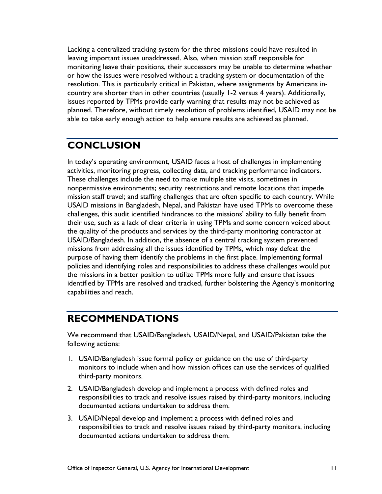Lacking a centralized tracking system for the three missions could have resulted in leaving important issues unaddressed. Also, when mission staff responsible for monitoring leave their positions, their successors may be unable to determine whether or how the issues were resolved without a tracking system or documentation of the resolution. This is particularly critical in Pakistan, where assignments by Americans incountry are shorter than in other countries (usually 1-2 versus 4 years). Additionally, issues reported by TPMs provide early warning that results may not be achieved as planned. Therefore, without timely resolution of problems identified, USAID may not be able to take early enough action to help ensure results are achieved as planned.

### <span id="page-14-0"></span>**CONCLUSION**

In today's operating environment, USAID faces a host of challenges in implementing activities, monitoring progress, collecting data, and tracking performance indicators. These challenges include the need to make multiple site visits, sometimes in nonpermissive environments; security restrictions and remote locations that impede mission staff travel; and staffing challenges that are often specific to each country. While USAID missions in Bangladesh, Nepal, and Pakistan have used TPMs to overcome these challenges, this audit identified hindrances to the missions' ability to fully benefit from their use, such as a lack of clear criteria in using TPMs and some concern voiced about the quality of the products and services by the third-party monitoring contractor at USAID/Bangladesh. In addition, the absence of a central tracking system prevented missions from addressing all the issues identified by TPMs, which may defeat the purpose of having them identify the problems in the first place. Implementing formal policies and identifying roles and responsibilities to address these challenges would put the missions in a better position to utilize TPMs more fully and ensure that issues identified by TPMs are resolved and tracked, further bolstering the Agency's monitoring capabilities and reach.

## <span id="page-14-1"></span>**RECOMMENDATIONS**

We recommend that USAID/Bangladesh, USAID/Nepal, and USAID/Pakistan take the following actions:

- 1. USAID/Bangladesh issue formal policy or guidance on the use of third-party monitors to include when and how mission offices can use the services of qualified third-party monitors.
- 2. USAID/Bangladesh develop and implement a process with defined roles and responsibilities to track and resolve issues raised by third-party monitors, including documented actions undertaken to address them.
- 3. USAID/Nepal develop and implement a process with defined roles and responsibilities to track and resolve issues raised by third-party monitors, including documented actions undertaken to address them.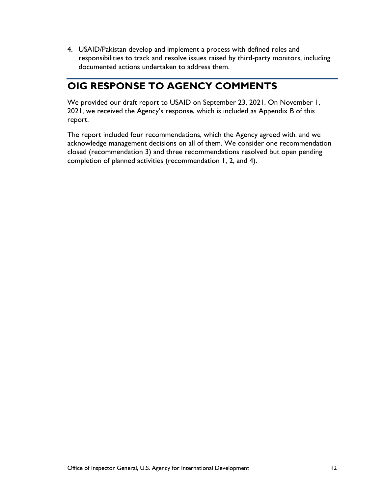4. USAID/Pakistan develop and implement a process with defined roles and responsibilities to track and resolve issues raised by third-party monitors, including documented actions undertaken to address them.

## <span id="page-15-0"></span>**OIG RESPONSE TO AGENCY COMMENTS**

We provided our draft report to USAID on September 23, 2021. On November 1, 2021, we received the Agency's response, which is included as Appendix B of this report.

The report included four recommendations, which the Agency agreed with, and we acknowledge management decisions on all of them. We consider one recommendation closed (recommendation 3) and three recommendations resolved but open pending completion of planned activities (recommendation 1, 2, and 4).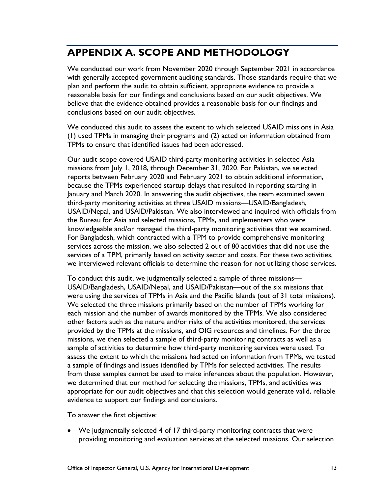# <span id="page-16-0"></span>**APPENDIX A. SCOPE AND METHODOLOGY**

We conducted our work from November 2020 through September 2021 in accordance with generally accepted government auditing standards. Those standards require that we plan and perform the audit to obtain sufficient, appropriate evidence to provide a reasonable basis for our findings and conclusions based on our audit objectives. We believe that the evidence obtained provides a reasonable basis for our findings and conclusions based on our audit objectives.

We conducted this audit to assess the extent to which selected USAID missions in Asia (1) used TPMs in managing their programs and (2) acted on information obtained from TPMs to ensure that identified issues had been addressed.

Our audit scope covered USAID third-party monitoring activities in selected Asia missions from July 1, 2018, through December 31, 2020. For Pakistan, we selected reports between February 2020 and February 2021 to obtain additional information, because the TPMs experienced startup delays that resulted in reporting starting in January and March 2020. In answering the audit objectives, the team examined seven third-party monitoring activities at three USAID missions—USAID/Bangladesh, USAID/Nepal, and USAID/Pakistan. We also interviewed and inquired with officials from the Bureau for Asia and selected missions, TPMs, and implementers who were knowledgeable and/or managed the third-party monitoring activities that we examined. For Bangladesh, which contracted with a TPM to provide comprehensive monitoring services across the mission, we also selected 2 out of 80 activities that did not use the services of a TPM, primarily based on activity sector and costs. For these two activities, we interviewed relevant officials to determine the reason for not utilizing those services.

To conduct this audit, we judgmentally selected a sample of three missions— USAID/Bangladesh, USAID/Nepal, and USAID/Pakistan—out of the six missions that were using the services of TPMs in Asia and the Pacific Islands (out of 31 total missions). We selected the three missions primarily based on the number of TPMs working for each mission and the number of awards monitored by the TPMs. We also considered other factors such as the nature and/or risks of the activities monitored, the services provided by the TPMs at the missions, and OIG resources and timelines. For the three missions, we then selected a sample of third-party monitoring contracts as well as a sample of activities to determine how third-party monitoring services were used. To assess the extent to which the missions had acted on information from TPMs, we tested a sample of findings and issues identified by TPMs for selected activities. The results from these samples cannot be used to make inferences about the population. However, we determined that our method for selecting the missions, TPMs, and activities was appropriate for our audit objectives and that this selection would generate valid, reliable evidence to support our findings and conclusions.

To answer the first objective:

• We judgmentally selected 4 of 17 third-party monitoring contracts that were providing monitoring and evaluation services at the selected missions. Our selection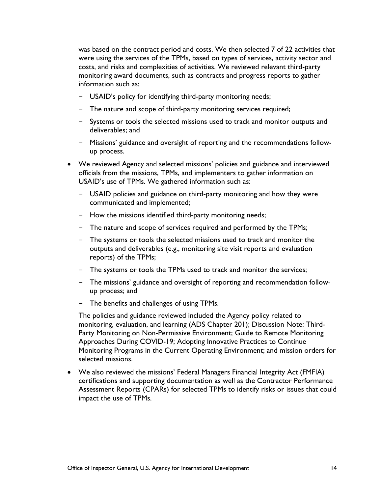was based on the contract period and costs. We then selected 7 of 22 activities that were using the services of the TPMs, based on types of services, activity sector and costs, and risks and complexities of activities. We reviewed relevant third-party monitoring award documents, such as contracts and progress reports to gather information such as:

- USAID's policy for identifying third-party monitoring needs;
- The nature and scope of third-party monitoring services required;
- Systems or tools the selected missions used to track and monitor outputs and deliverables; and
- Missions' guidance and oversight of reporting and the recommendations followup process.
- We reviewed Agency and selected missions' policies and guidance and interviewed officials from the missions, TPMs, and implementers to gather information on USAID's use of TPMs. We gathered information such as:
	- USAID policies and guidance on third-party monitoring and how they were communicated and implemented;
	- How the missions identified third-party monitoring needs;
	- The nature and scope of services required and performed by the TPMs;
	- The systems or tools the selected missions used to track and monitor the outputs and deliverables (e.g., monitoring site visit reports and evaluation reports) of the TPMs;
	- The systems or tools the TPMs used to track and monitor the services;
	- The missions' guidance and oversight of reporting and recommendation followup process; and
	- The benefits and challenges of using TPMs.

The policies and guidance reviewed included the Agency policy related to monitoring, evaluation, and learning (ADS Chapter 201); Discussion Note: Third-Party Monitoring on Non-Permissive Environment; Guide to Remote Monitoring Approaches During COVID-19; Adopting Innovative Practices to Continue Monitoring Programs in the Current Operating Environment; and mission orders for selected missions.

• We also reviewed the missions' Federal Managers Financial Integrity Act (FMFIA) certifications and supporting documentation as well as the Contractor Performance Assessment Reports (CPARs) for selected TPMs to identify risks or issues that could impact the use of TPMs.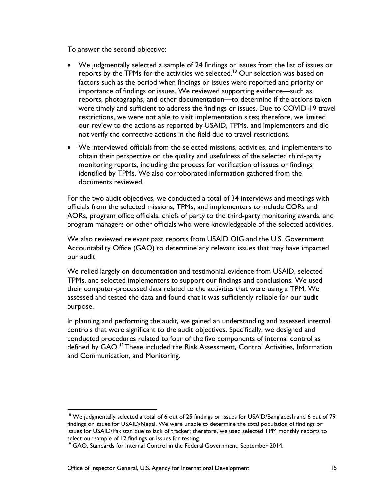To answer the second objective:

- We judgmentally selected a sample of 24 findings or issues from the list of issues or reports by the TPMs for the activities we selected.<sup>[18](#page-18-0)</sup> Our selection was based on factors such as the period when findings or issues were reported and priority or importance of findings or issues. We reviewed supporting evidence—such as reports, photographs, and other documentation—to determine if the actions taken were timely and sufficient to address the findings or issues. Due to COVID-19 travel restrictions, we were not able to visit implementation sites; therefore, we limited our review to the actions as reported by USAID, TPMs, and implementers and did not verify the corrective actions in the field due to travel restrictions.
- We interviewed officials from the selected missions, activities, and implementers to obtain their perspective on the quality and usefulness of the selected third-party monitoring reports, including the process for verification of issues or findings identified by TPMs. We also corroborated information gathered from the documents reviewed.

For the two audit objectives, we conducted a total of 34 interviews and meetings with officials from the selected missions, TPMs, and implementers to include CORs and AORs, program office officials, chiefs of party to the third-party monitoring awards, and program managers or other officials who were knowledgeable of the selected activities.

We also reviewed relevant past reports from USAID OIG and the U.S. Government Accountability Office (GAO) to determine any relevant issues that may have impacted our audit.

We relied largely on documentation and testimonial evidence from USAID, selected TPMs, and selected implementers to support our findings and conclusions. We used their computer-processed data related to the activities that were using a TPM. We assessed and tested the data and found that it was sufficiently reliable for our audit purpose.

In planning and performing the audit, we gained an understanding and assessed internal controls that were significant to the audit objectives. Specifically, we designed and conducted procedures related to four of the five components of internal control as defined by GAO.<sup>[19](#page-18-1)</sup> These included the Risk Assessment, Control Activities, Information and Communication, and Monitoring.

<span id="page-18-0"></span><sup>&</sup>lt;sup>18</sup> We judgmentally selected a total of 6 out of 25 findings or issues for USAID/Bangladesh and 6 out of 79 findings or issues for USAID/Nepal. We were unable to determine the total population of findings or issues for USAID/Pakistan due to lack of tracker; therefore, we used selected TPM monthly reports to select our sample of 12 findings or issues for testing.<br><sup>19</sup> GAO, Standards for Internal Control in the Federal Government, September 2014.

<span id="page-18-1"></span>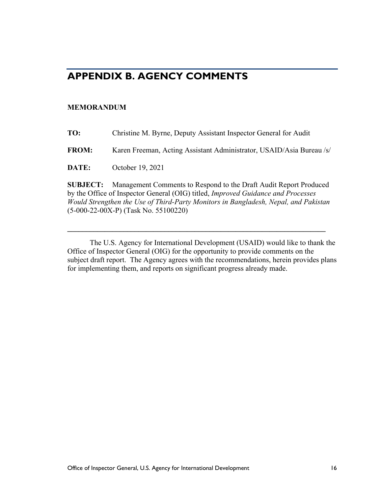### <span id="page-19-0"></span>**APPENDIX B. AGENCY COMMENTS**

#### **MEMORANDUM**

| TO:          | Christine M. Byrne, Deputy Assistant Inspector General for Audit     |
|--------------|----------------------------------------------------------------------|
| <b>FROM:</b> | Karen Freeman, Acting Assistant Administrator, USAID/Asia Bureau /s/ |

**DATE:** October 19, 2021

**SUBJECT:** Management Comments to Respond to the Draft Audit Report Produced by the Office of Inspector General (OIG) titled, *Improved Guidance and Processes Would Strengthen the Use of Third-Party Monitors in Bangladesh, Nepal, and Pakistan*  (5-000-22-00X-P) (Task No. 55100220)

**\_\_\_\_\_\_\_\_\_\_\_\_\_\_\_\_\_\_\_\_\_\_\_\_\_\_\_\_\_\_\_\_\_\_\_\_\_\_\_\_\_\_\_\_\_\_\_\_\_\_\_\_\_\_\_\_\_\_\_\_\_\_\_\_\_\_\_\_\_** 

The U.S. Agency for International Development (USAID) would like to thank the Office of Inspector General (OIG) for the opportunity to provide comments on the subject draft report. The Agency agrees with the recommendations, herein provides plans for implementing them, and reports on significant progress already made.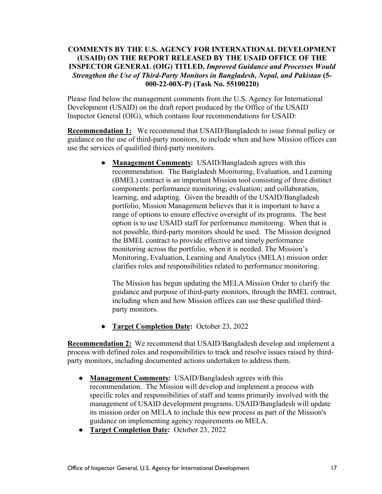#### **COMMENTS BY THE U.S. AGENCY FOR INTERNATIONAL DEVELOPMENT (USAID) ON THE REPORT RELEASED BY THE USAID OFFICE OF THE INSPECTOR GENERAL (OIG) TITLED,** *Improved Guidance and Processes Would Strengthen the Use of Third-Party Monitors in Bangladesh, Nepal, and Pakistan* **(5- 000-22-00X-P) (Task No. 55100220)**

Please find below the management comments from the U.S. Agency for International Development (USAID) on the draft report produced by the Office of the USAID Inspector General (OIG), which contains four recommendations for USAID:

**Recommendation 1:** We recommend that USAID/Bangladesh to issue formal policy or guidance on the use of third-party monitors, to include when and how Mission offices can use the services of qualified third-party monitors.

> ● **Management Comments:** USAID/Bangladesh agrees with this recommendation. The Bangladesh Monitoring, Evaluation, and Learning (BMEL) contract is an important Mission tool consisting of three distinct components: performance monitoring; evaluation; and collaboration, learning, and adapting. Given the breadth of the USAID/Bangladesh portfolio, Mission Management believes that it is important to have a range of options to ensure effective oversight of its programs. The best option is to use USAID staff for performance monitoring. When that is not possible, third-party monitors should be used. The Mission designed the BMEL contract to provide effective and timely performance monitoring across the portfolio, when it is needed. The Mission's Monitoring, Evaluation, Learning and Analytics (MELA) mission order clarifies roles and responsibilities related to performance monitoring.

The Mission has begun updating the MELA Mission Order to clarify the guidance and purpose of third-party monitors, through the BMEL contract, including when and how Mission offices can use these qualified thirdparty monitors.

● **Target Completion Date:** October 23, 2022

**Recommendation 2:** We recommend that USAID/Bangladesh develop and implement a process with defined roles and responsibilities to track and resolve issues raised by thirdparty monitors, including documented actions undertaken to address them.

- **Management Comments:** USAID/Bangladesh agrees with this recommendation. The Mission will develop and implement a process with specific roles and responsibilities of staff and teams primarily involved with the management of USAID development programs. USAID/Bangladesh will update its mission order on MELA to include this new process as part of the Mission's guidance on implementing agency requirements on MELA.
- **Target Completion Date:** October 23, 2022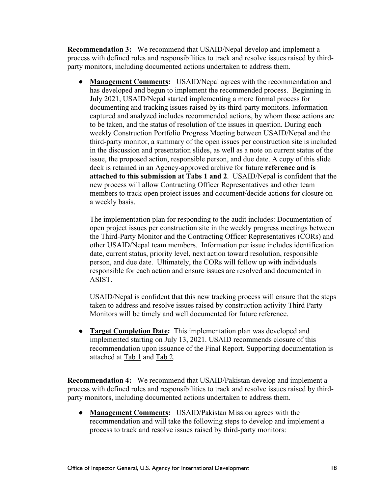**Recommendation 3:** We recommend that USAID/Nepal develop and implement a process with defined roles and responsibilities to track and resolve issues raised by thirdparty monitors, including documented actions undertaken to address them.

• **Management Comments:** USAID/Nepal agrees with the recommendation and has developed and begun to implement the recommended process. Beginning in July 2021, USAID/Nepal started implementing a more formal process for documenting and tracking issues raised by its third-party monitors. Information captured and analyzed includes recommended actions, by whom those actions are to be taken, and the status of resolution of the issues in question. During each weekly Construction Portfolio Progress Meeting between USAID/Nepal and the third-party monitor, a summary of the open issues per construction site is included in the discussion and presentation slides, as well as a note on current status of the issue, the proposed action, responsible person, and due date. A copy of this slide deck is retained in an Agency-approved archive for future **reference and is attached to this submission at Tabs 1 and 2**. USAID/Nepal is confident that the new process will allow Contracting Officer Representatives and other team members to track open project issues and document/decide actions for closure on a weekly basis.

The implementation plan for responding to the audit includes: Documentation of open project issues per construction site in the weekly progress meetings between the Third-Party Monitor and the Contracting Officer Representatives (CORs) and other USAID/Nepal team members. Information per issue includes identification date, current status, priority level, next action toward resolution, responsible person, and due date. Ultimately, the CORs will follow up with individuals responsible for each action and ensure issues are resolved and documented in ASIST.

USAID/Nepal is confident that this new tracking process will ensure that the steps taken to address and resolve issues raised by construction activity Third Party Monitors will be timely and well documented for future reference.

● **Target Completion Date:** This implementation plan was developed and implemented starting on July 13, 2021. USAID recommends closure of this recommendation upon issuance of the Final Report. Supporting documentation is attached at Tab 1 and Tab 2.

**Recommendation 4:** We recommend that USAID/Pakistan develop and implement a process with defined roles and responsibilities to track and resolve issues raised by thirdparty monitors, including documented actions undertaken to address them.

● **Management Comments:** USAID/Pakistan Mission agrees with the recommendation and will take the following steps to develop and implement a process to track and resolve issues raised by third-party monitors: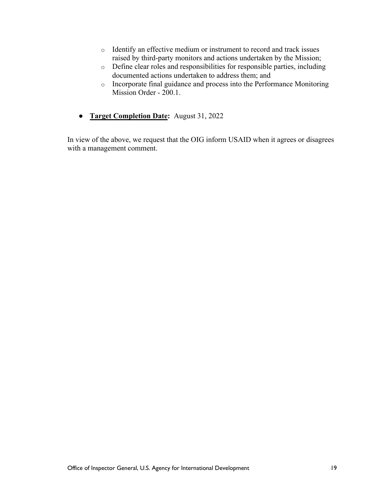- o Identify an effective medium or instrument to record and track issues raised by third-party monitors and actions undertaken by the Mission;
- o Define clear roles and responsibilities for responsible parties, including documented actions undertaken to address them; and
- o Incorporate final guidance and process into the Performance Monitoring Mission Order - 200.1.
- **Target Completion Date:** August 31, 2022

In view of the above, we request that the OIG inform USAID when it agrees or disagrees with a management comment.